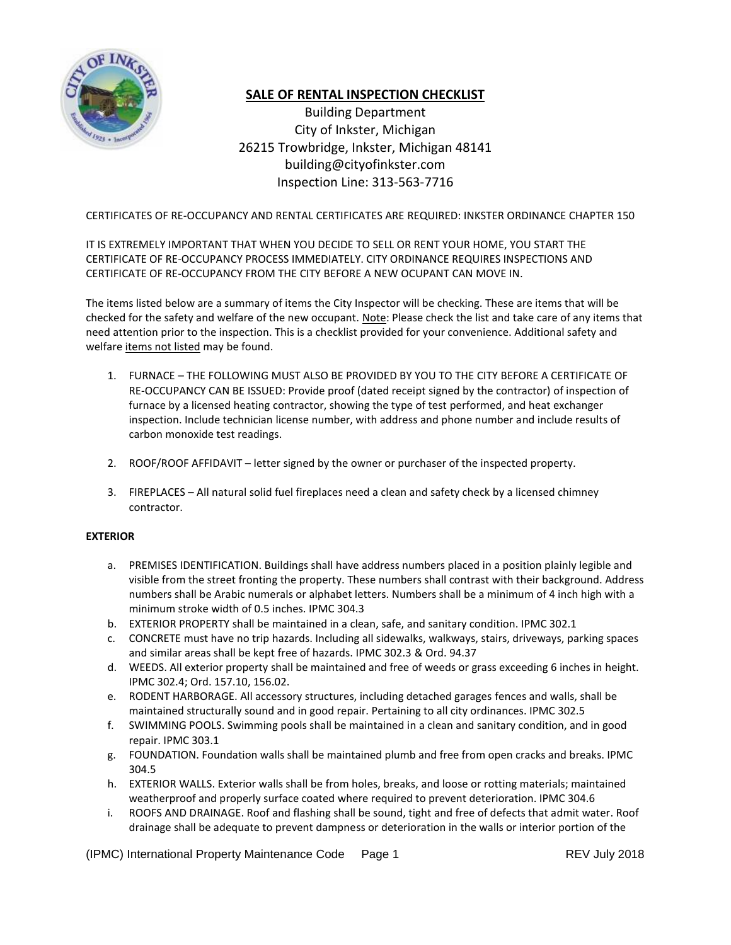

# **SALE OF RENTAL INSPECTION CHECKLIST**

Building Department City of Inkster, Michigan 26215 Trowbridge, Inkster, Michigan 48141 building@cityofinkster.com Inspection Line: 313-563-7716

# CERTIFICATES OF RE-OCCUPANCY AND RENTAL CERTIFICATES ARE REQUIRED: INKSTER ORDINANCE CHAPTER 150

# IT IS EXTREMELY IMPORTANT THAT WHEN YOU DECIDE TO SELL OR RENT YOUR HOME, YOU START THE CERTIFICATE OF RE-OCCUPANCY PROCESS IMMEDIATELY. CITY ORDINANCE REQUIRES INSPECTIONS AND CERTIFICATE OF RE-OCCUPANCY FROM THE CITY BEFORE A NEW OCUPANT CAN MOVE IN.

The items listed below are a summary of items the City Inspector will be checking. These are items that will be checked for the safety and welfare of the new occupant. Note: Please check the list and take care of any items that need attention prior to the inspection. This is a checklist provided for your convenience. Additional safety and welfare items not listed may be found.

- 1. FURNACE THE FOLLOWING MUST ALSO BE PROVIDED BY YOU TO THE CITY BEFORE A CERTIFICATE OF RE-OCCUPANCY CAN BE ISSUED: Provide proof (dated receipt signed by the contractor) of inspection of furnace by a licensed heating contractor, showing the type of test performed, and heat exchanger inspection. Include technician license number, with address and phone number and include results of carbon monoxide test readings.
- 2. ROOF/ROOF AFFIDAVIT letter signed by the owner or purchaser of the inspected property.
- 3. FIREPLACES All natural solid fuel fireplaces need a clean and safety check by a licensed chimney contractor.

## **EXTERIOR**

- a. PREMISES IDENTIFICATION. Buildings shall have address numbers placed in a position plainly legible and visible from the street fronting the property. These numbers shall contrast with their background. Address numbers shall be Arabic numerals or alphabet letters. Numbers shall be a minimum of 4 inch high with a minimum stroke width of 0.5 inches. IPMC 304.3
- b. EXTERIOR PROPERTY shall be maintained in a clean, safe, and sanitary condition. IPMC 302.1
- c. CONCRETE must have no trip hazards. Including all sidewalks, walkways, stairs, driveways, parking spaces and similar areas shall be kept free of hazards. IPMC 302.3 & Ord. 94.37
- d. WEEDS. All exterior property shall be maintained and free of weeds or grass exceeding 6 inches in height. IPMC 302.4; Ord. 157.10, 156.02.
- e. RODENT HARBORAGE. All accessory structures, including detached garages fences and walls, shall be maintained structurally sound and in good repair. Pertaining to all city ordinances. IPMC 302.5
- f. SWIMMING POOLS. Swimming pools shall be maintained in a clean and sanitary condition, and in good repair. IPMC 303.1
- g. FOUNDATION. Foundation walls shall be maintained plumb and free from open cracks and breaks. IPMC 304.5
- h. EXTERIOR WALLS. Exterior walls shall be from holes, breaks, and loose or rotting materials; maintained weatherproof and properly surface coated where required to prevent deterioration. IPMC 304.6
- i. ROOFS AND DRAINAGE. Roof and flashing shall be sound, tight and free of defects that admit water. Roof drainage shall be adequate to prevent dampness or deterioration in the walls or interior portion of the

(IPMC) International Property Maintenance Code Page 1 REV July 2018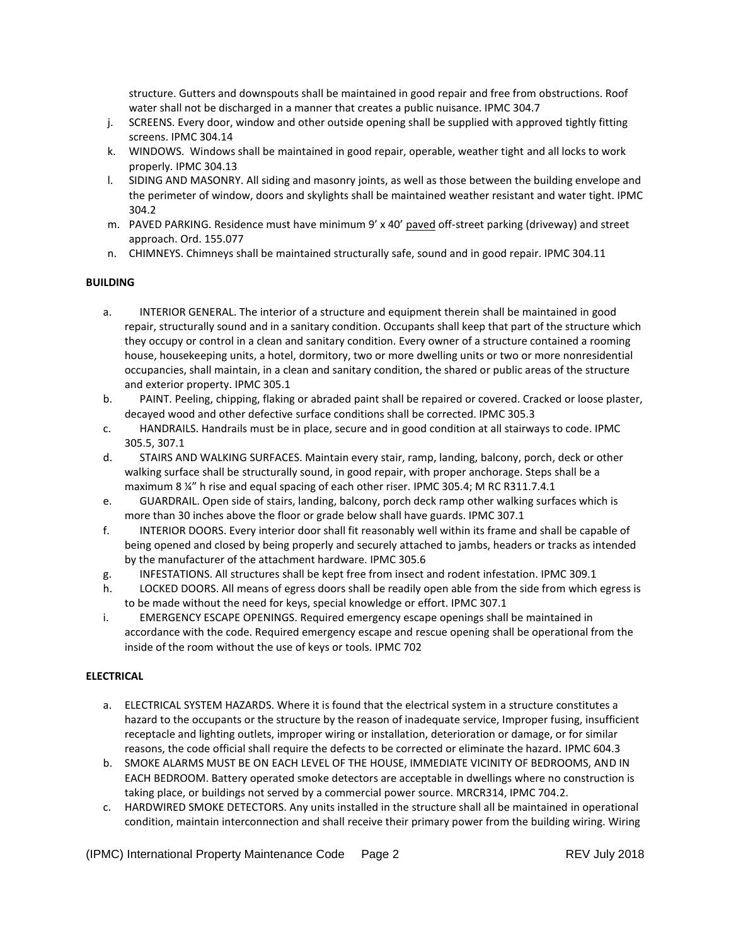structure. Gutters and downspouts shall be maintained in good repair and free from obstructions. Roof water shall not be discharged in a manner that creates a public nuisance. IPMC 304.7

- j. SCREENS. Every door, window and other outside opening shall be supplied with approved tightly fitting screens. IPMC 304.14
- k. WINDOWS. Windows shall be maintained in good repair, operable, weather tight and all locks to work properly. IPMC 304.13
- l. SIDING AND MASONRY. All siding and masonry joints, as well as those between the building envelope and the perimeter of window, doors and skylights shall be maintained weather resistant and water tight. IPMC 304.2
- m. PAVED PARKING. Residence must have minimum 9' x 40' paved off-street parking (driveway) and street approach. Ord. 155.077
- n. CHIMNEYS. Chimneys shall be maintained structurally safe, sound and in good repair. IPMC 304.11

## **BUILDING**

- a. INTERIOR GENERAL. The interior of a structure and equipment therein shall be maintained in good repair, structurally sound and in a sanitary condition. Occupants shall keep that part of the structure which they occupy or control in a clean and sanitary condition. Every owner of a structure contained a rooming house, housekeeping units, a hotel, dormitory, two or more dwelling units or two or more nonresidential occupancies, shall maintain, in a clean and sanitary condition, the shared or public areas of the structure and exterior property. IPMC 305.1
- b. PAINT. Peeling, chipping, flaking or abraded paint shall be repaired or covered. Cracked or loose plaster, decayed wood and other defective surface conditions shall be corrected. IPMC 305.3
- c. HANDRAILS. Handrails must be in place, secure and in good condition at all stairways to code. IPMC 305.5, 307.1
- d. STAIRS AND WALKING SURFACES. Maintain every stair, ramp, landing, balcony, porch, deck or other walking surface shall be structurally sound, in good repair, with proper anchorage. Steps shall be a maximum 8 ¼" h rise and equal spacing of each other riser. IPMC 305.4; M RC R311.7.4.1
- e. GUARDRAIL. Open side of stairs, landing, balcony, porch deck ramp other walking surfaces which is more than 30 inches above the floor or grade below shall have guards. IPMC 307.1
- f. INTERIOR DOORS. Every interior door shall fit reasonably well within its frame and shall be capable of being opened and closed by being properly and securely attached to jambs, headers or tracks as intended by the manufacturer of the attachment hardware. IPMC 305.6
- g. INFESTATIONS. All structures shall be kept free from insect and rodent infestation. IPMC 309.1
- h. LOCKED DOORS. All means of egress doors shall be readily open able from the side from which egress is to be made without the need for keys, special knowledge or effort. IPMC 307.1
- i. EMERGENCY ESCAPE OPENINGS. Required emergency escape openings shall be maintained in accordance with the code. Required emergency escape and rescue opening shall be operational from the inside of the room without the use of keys or tools. IPMC 702

# **ELECTRICAL**

- a. ELECTRICAL SYSTEM HAZARDS. Where it is found that the electrical system in a structure constitutes a hazard to the occupants or the structure by the reason of inadequate service, Improper fusing, insufficient receptacle and lighting outlets, improper wiring or installation, deterioration or damage, or for similar reasons, the code official shall require the defects to be corrected or eliminate the hazard. IPMC 604.3
- b. SMOKE ALARMS MUST BE ON EACH LEVEL OF THE HOUSE, IMMEDIATE VICINITY OF BEDROOMS, AND IN EACH BEDROOM. Battery operated smoke detectors are acceptable in dwellings where no construction is taking place, or buildings not served by a commercial power source. MRCR314, IPMC 704.2.
- c. HARDWIRED SMOKE DETECTORS. Any units installed in the structure shall all be maintained in operational condition, maintain interconnection and shall receive their primary power from the building wiring. Wiring

(IPMC) International Property Maintenance Code Page 2 REV July 2018